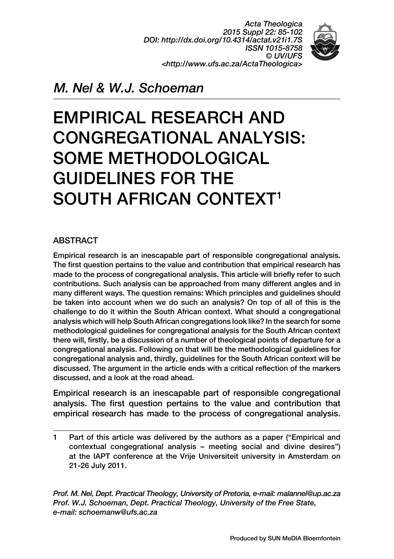*Acta Theologica 2015 Suppl 22: 85-102 DOI: http://dx.doi.org/10.4314/actat.v21i1.7S ISSN 1015-8758 © UV/UFS <http://www.ufs.ac.za/ActaTheologica>*



## *M. Nel & W.J. Schoeman*

# EMPIRICAL RESEARCH AND CONGREGATIONAL ANALYSIS: SOME METHODOLOGICAL GUIDELINES FOR THE SOUTH AFRICAN CONTEXT1

#### ABSTRACT

Empirical research is an inescapable part of responsible congregational analysis. The first question pertains to the value and contribution that empirical research has made to the process of congregational analysis. This article will briefly refer to such contributions. Such analysis can be approached from many different angles and in many different ways. The question remains: Which principles and guidelines should be taken into account when we do such an analysis? On top of all of this is the challenge to do it within the South African context. What should a congregational analysis which will help South African congregations look like? In the search for some methodological guidelines for congregational analysis for the South African context there will, firstly, be a discussion of a number of theological points of departure for a congregational analysis. Following on that will be the methodological guidelines for congregational analysis and, thirdly, guidelines for the South African context will be discussed. The argument in the article ends with a critical reflection of the markers discussed, and a look at the road ahead.

Empirical research is an inescapable part of responsible congregational analysis. The first question pertains to the value and contribution that empirical research has made to the process of congregational analysis.

1 Part of this article was delivered by the authors as a paper ("Empirical and contextual congegrational analysis – meeting social and divine desires") at the IAPT conference at the Vrije Universiteit university in Amsterdam on 21-26 July 2011.

*Prof. M. Nel, Dept. Practical Theology, University of Pretoria, e-mail: malannel@up.ac.za Prof. W.J. Schoeman, Dept. Practical Theology, University of the Free State, e-mail: schoemanw@ufs.ac.za*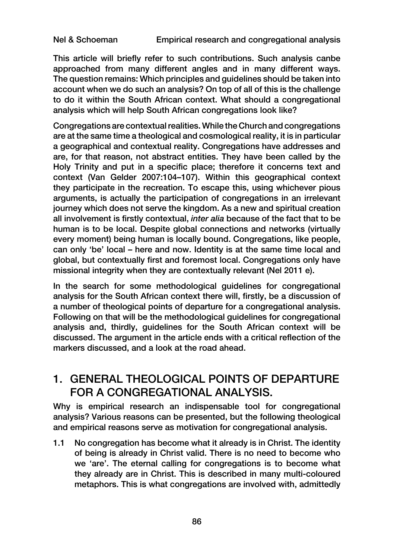This article will briefly refer to such contributions. Such analysis canbe approached from many different angles and in many different ways. The question remains: Which principles and guidelines should be taken into account when we do such an analysis? On top of all of this is the challenge to do it within the South African context. What should a congregational analysis which will help South African congregations look like?

Congregations are contextual realities. While the Church and congregations are at the same time a theological and cosmological reality, it is in particular a geographical and contextual reality. Congregations have addresses and are, for that reason, not abstract entities. They have been called by the Holy Trinity and put in a specific place; therefore it concerns text and context (Van Gelder 2007:104–107). Within this geographical context they participate in the recreation. To escape this, using whichever pious arguments, is actually the participation of congregations in an irrelevant journey which does not serve the kingdom. As a new and spiritual creation all involvement is firstly contextual, *inter alia* because of the fact that to be human is to be local. Despite global connections and networks (virtually every moment) being human is locally bound. Congregations, like people, can only 'be' local – here and now. Identity is at the same time local and global, but contextually first and foremost local. Congregations only have missional integrity when they are contextually relevant (Nel 2011 e).

In the search for some methodological guidelines for congregational analysis for the South African context there will, firstly, be a discussion of a number of theological points of departure for a congregational analysis. Following on that will be the methodological guidelines for congregational analysis and, thirdly, guidelines for the South African context will be discussed. The argument in the article ends with a critical reflection of the markers discussed, and a look at the road ahead.

## 1. GENERAL THEOLOGICAL POINTS OF DEPARTURE FOR A CONGREGATIONAL ANALYSIS.

Why is empirical research an indispensable tool for congregational analysis? Various reasons can be presented, but the following theological and empirical reasons serve as motivation for congregational analysis.

1.1 No congregation has become what it already is in Christ. The identity of being is already in Christ valid. There is no need to become who we 'are'. The eternal calling for congregations is to become what they already are in Christ. This is described in many multi-coloured metaphors. This is what congregations are involved with, admittedly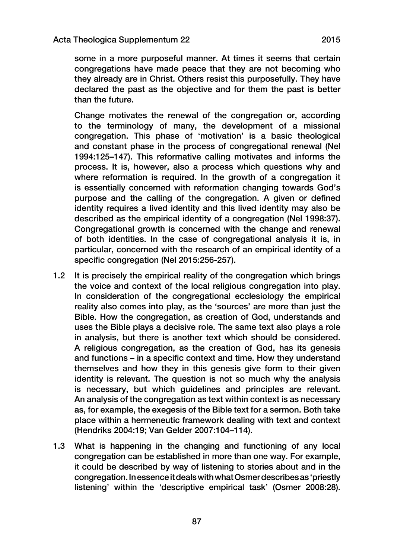some in a more purposeful manner. At times it seems that certain congregations have made peace that they are not becoming who they already are in Christ. Others resist this purposefully. They have declared the past as the objective and for them the past is better than the future.

Change motivates the renewal of the congregation or, according to the terminology of many, the development of a missional congregation. This phase of 'motivation' is a basic theological and constant phase in the process of congregational renewal (Nel 1994:125–147). This reformative calling motivates and informs the process. It is, however, also a process which questions why and where reformation is required. In the growth of a congregation it is essentially concerned with reformation changing towards God's purpose and the calling of the congregation. A given or defined identity requires a lived identity and this lived identity may also be described as the empirical identity of a congregation (Nel 1998:37). Congregational growth is concerned with the change and renewal of both identities. In the case of congregational analysis it is, in particular, concerned with the research of an empirical identity of a specific congregation (Nel 2015:256-257).

- 1.2 It is precisely the empirical reality of the congregation which brings the voice and context of the local religious congregation into play. In consideration of the congregational ecclesiology the empirical reality also comes into play, as the 'sources' are more than just the Bible. How the congregation, as creation of God, understands and uses the Bible plays a decisive role. The same text also plays a role in analysis, but there is another text which should be considered. A religious congregation, as the creation of God, has its genesis and functions – in a specific context and time. How they understand themselves and how they in this genesis give form to their given identity is relevant. The question is not so much why the analysis is necessary, but which guidelines and principles are relevant. An analysis of the congregation as text within context is as necessary as, for example, the exegesis of the Bible text for a sermon. Both take place within a hermeneutic framework dealing with text and context (Hendriks 2004:19; Van Gelder 2007:104–114).
- 1.3 What is happening in the changing and functioning of any local congregation can be established in more than one way. For example, it could be described by way of listening to stories about and in the congregation. In essence it deals with what Osmer describes as 'priestly listening' within the 'descriptive empirical task' (Osmer 2008:28).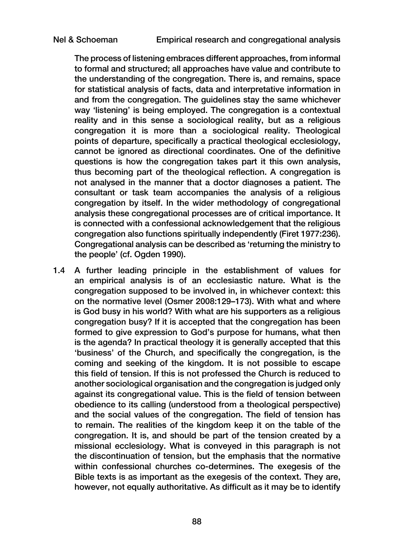The process of listening embraces different approaches, from informal to formal and structured; all approaches have value and contribute to the understanding of the congregation. There is, and remains, space for statistical analysis of facts, data and interpretative information in and from the congregation. The guidelines stay the same whichever way 'listening' is being employed. The congregation is a contextual reality and in this sense a sociological reality, but as a religious congregation it is more than a sociological reality. Theological points of departure, specifically a practical theological ecclesiology, cannot be ignored as directional coordinates. One of the definitive questions is how the congregation takes part it this own analysis, thus becoming part of the theological reflection. A congregation is not analysed in the manner that a doctor diagnoses a patient. The consultant or task team accompanies the analysis of a religious congregation by itself. In the wider methodology of congregational analysis these congregational processes are of critical importance. It is connected with a confessional acknowledgement that the religious congregation also functions spiritually independently (Firet 1977:236). Congregational analysis can be described as 'returning the ministry to the people' (cf. Ogden 1990).

1.4 A further leading principle in the establishment of values for an empirical analysis is of an ecclesiastic nature. What is the congregation supposed to be involved in, in whichever context: this on the normative level (Osmer 2008:129–173). With what and where is God busy in his world? With what are his supporters as a religious congregation busy? If it is accepted that the congregation has been formed to give expression to God's purpose for humans, what then is the agenda? In practical theology it is generally accepted that this 'business' of the Church, and specifically the congregation, is the coming and seeking of the kingdom. It is not possible to escape this field of tension. If this is not professed the Church is reduced to another sociological organisation and the congregation is judged only against its congregational value. This is the field of tension between obedience to its calling (understood from a theological perspective) and the social values of the congregation. The field of tension has to remain. The realities of the kingdom keep it on the table of the congregation. It is, and should be part of the tension created by a missional ecclesiology. What is conveyed in this paragraph is not the discontinuation of tension, but the emphasis that the normative within confessional churches co-determines. The exegesis of the Bible texts is as important as the exegesis of the context. They are, however, not equally authoritative. As difficult as it may be to identify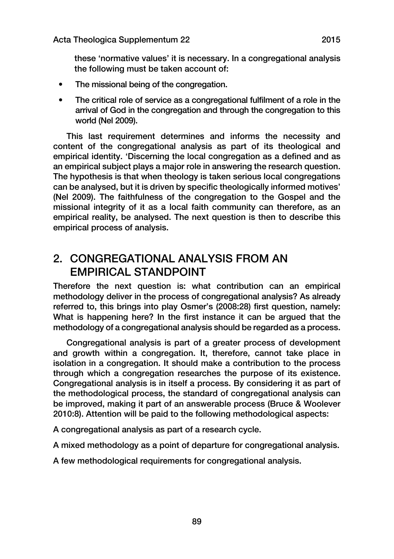these 'normative values' it is necessary. In a congregational analysis the following must be taken account of:

- The missional being of the congregation.
- The critical role of service as a congregational fulfilment of a role in the arrival of God in the congregation and through the congregation to this world (Nel 2009).

This last requirement determines and informs the necessity and content of the congregational analysis as part of its theological and empirical identity. 'Discerning the local congregation as a defined and as an empirical subject plays a major role in answering the research question. The hypothesis is that when theology is taken serious local congregations can be analysed, but it is driven by specific theologically informed motives' (Nel 2009). The faithfulness of the congregation to the Gospel and the missional integrity of it as a local faith community can therefore, as an empirical reality, be analysed. The next question is then to describe this empirical process of analysis.

## 2. CONGREGATIONAL ANALYSIS FROM AN EMPIRICAL STANDPOINT

Therefore the next question is: what contribution can an empirical methodology deliver in the process of congregational analysis? As already referred to, this brings into play Osmer's (2008:28) first question, namely: What is happening here? In the first instance it can be argued that the methodology of a congregational analysis should be regarded as a process.

Congregational analysis is part of a greater process of development and growth within a congregation. It, therefore, cannot take place in isolation in a congregation. It should make a contribution to the process through which a congregation researches the purpose of its existence. Congregational analysis is in itself a process. By considering it as part of the methodological process, the standard of congregational analysis can be improved, making it part of an answerable process (Bruce & Woolever 2010:8). Attention will be paid to the following methodological aspects:

A congregational analysis as part of a research cycle.

A mixed methodology as a point of departure for congregational analysis.

A few methodological requirements for congregational analysis.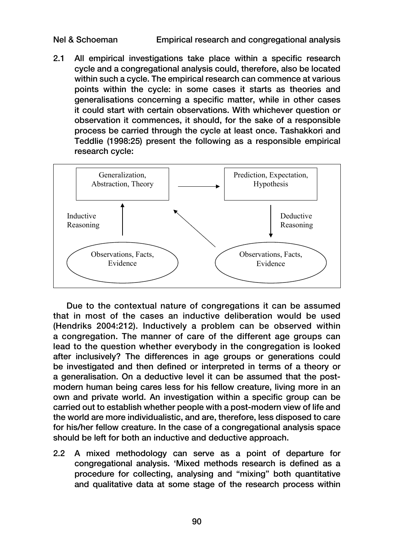2.1 All empirical investigations take place within a specific research cycle and a congregational analysis could, therefore, also be located within such a cycle. The empirical research can commence at various points within the cycle: in some cases it starts as theories and generalisations concerning a specific matter, while in other cases it could start with certain observations. With whichever question or observation it commences, it should, for the sake of a responsible process be carried through the cycle at least once. Tashakkori and Teddlie (1998:25) present the following as a responsible empirical research cycle:



Due to the contextual nature of congregations it can be assumed that in most of the cases an inductive deliberation would be used (Hendriks 2004:212). Inductively a problem can be observed within a congregation. The manner of care of the different age groups can lead to the question whether everybody in the congregation is looked after inclusively? The differences in age groups or generations could be investigated and then defined or interpreted in terms of a theory or a generalisation. On a deductive level it can be assumed that the postmodern human being cares less for his fellow creature, living more in an own and private world. An investigation within a specific group can be carried out to establish whether people with a post-modern view of life and the world are more individualistic, and are, therefore, less disposed to care for his/her fellow creature. In the case of a congregational analysis space should be left for both an inductive and deductive approach.

2.2 A mixed methodology can serve as a point of departure for congregational analysis. 'Mixed methods research is defined as a procedure for collecting, analysing and "mixing" both quantitative and qualitative data at some stage of the research process within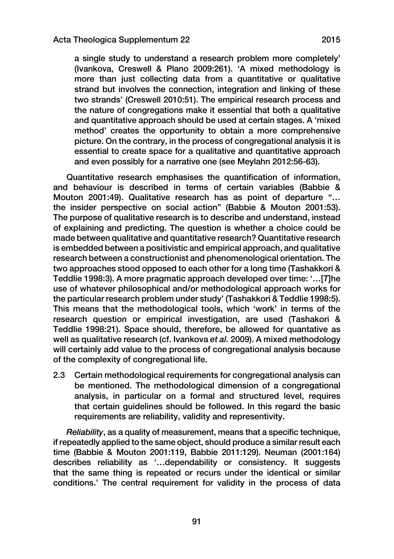a single study to understand a research problem more completely' (Ivankova, Creswell & Plano 2009:261). 'A mixed methodology is more than just collecting data from a quantitative or qualitative strand but involves the connection, integration and linking of these two strands' (Creswell 2010:51). The empirical research process and the nature of congregations make it essential that both a qualitative and quantitative approach should be used at certain stages. A 'mixed method' creates the opportunity to obtain a more comprehensive picture. On the contrary, in the process of congregational analysis it is essential to create space for a qualitative and quantitative approach and even possibly for a narrative one (see Meylahn 2012:56-63).

Quantitative research emphasises the quantification of information, and behaviour is described in terms of certain variables (Babbie & Mouton 2001:49). Qualitative research has as point of departure "… the insider perspective on social action" (Babbie & Mouton 2001:53). The purpose of qualitative research is to describe and understand, instead of explaining and predicting. The question is whether a choice could be made between qualitative and quantitative research? Quantitative research is embedded between a positivistic and empirical approach, and qualitative research between a constructionist and phenomenological orientation. The two approaches stood opposed to each other for a long time (Tashakkori & Teddlie 1998:3). A more pragmatic approach developed over time: '…[*T*]he use of whatever philosophical and/or methodological approach works for the particular research problem under study' (Tashakkori & Teddlie 1998:5). This means that the methodological tools, which 'work' in terms of the research question or empirical investigation, are used (Tashakori & Teddlie 1998:21). Space should, therefore, be allowed for quantative as well as qualitative research (cf. Ivankova *et al.* 2009). A mixed methodology will certainly add value to the process of congregational analysis because of the complexity of congregational life.

2.3 Certain methodological requirements for congregational analysis can be mentioned. The methodological dimension of a congregational analysis, in particular on a formal and structured level, requires that certain guidelines should be followed. In this regard the basic requirements are reliability, validity and representivity.

*Reliability*, as a quality of measurement, means that a specific technique, if repeatedly applied to the same object, should produce a similar result each time (Babbie & Mouton 2001:119, Babbie 2011:129). Neuman (2001:164) describes reliability as '…dependability or consistency. It suggests that the same thing is repeated or recurs under the identical or similar conditions.' The central requirement for validity in the process of data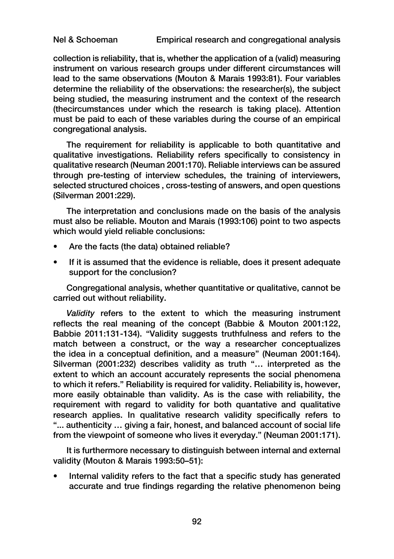collection is reliability, that is, whether the application of a (valid) measuring instrument on various research groups under different circumstances will lead to the same observations (Mouton & Marais 1993:81). Four variables determine the reliability of the observations: the researcher(s), the subject being studied, the measuring instrument and the context of the research (thecircumstances under which the research is taking place). Attention must be paid to each of these variables during the course of an empirical congregational analysis.

The requirement for reliability is applicable to both quantitative and qualitative investigations. Reliability refers specifically to consistency in qualitative research (Neuman 2001:170). Reliable interviews can be assured through pre-testing of interview schedules, the training of interviewers, selected structured choices , cross-testing of answers, and open questions (Silverman 2001:229).

The interpretation and conclusions made on the basis of the analysis must also be reliable. Mouton and Marais (1993:106) point to two aspects which would yield reliable conclusions:

- Are the facts (the data) obtained reliable?
- If it is assumed that the evidence is reliable, does it present adequate support for the conclusion?

Congregational analysis, whether quantitative or qualitative, cannot be carried out without reliability.

*Validity* refers to the extent to which the measuring instrument reflects the real meaning of the concept (Babbie & Mouton 2001:122, Babbie 2011:131-134). "Validity suggests truthfulness and refers to the match between a construct, or the way a researcher conceptualizes the idea in a conceptual definition, and a measure" (Neuman 2001:164). Silverman (2001:232) describes validity as truth "… interpreted as the extent to which an account accurately represents the social phenomena to which it refers." Reliability is required for validity. Reliability is, however, more easily obtainable than validity. As is the case with reliability, the requirement with regard to validity for both quantative and qualitative research applies. In qualitative research validity specifically refers to "... authenticity … giving a fair, honest, and balanced account of social life from the viewpoint of someone who lives it everyday." (Neuman 2001:171).

It is furthermore necessary to distinguish between internal and external validity (Mouton & Marais 1993:50–51):

• Internal validity refers to the fact that a specific study has generated accurate and true findings regarding the relative phenomenon being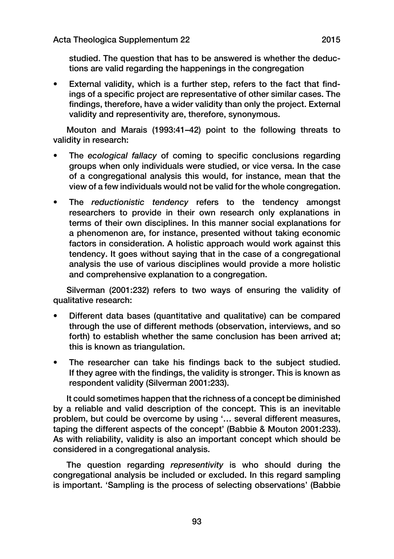studied. The question that has to be answered is whether the deductions are valid regarding the happenings in the congregation

• External validity, which is a further step, refers to the fact that findings of a specific project are representative of other similar cases. The findings, therefore, have a wider validity than only the project. External validity and representivity are, therefore, synonymous.

Mouton and Marais (1993:41–42) point to the following threats to validity in research:

- The *ecological fallacy* of coming to specific conclusions regarding groups when only individuals were studied, or vice versa. In the case of a congregational analysis this would, for instance, mean that the view of a few individuals would not be valid for the whole congregation.
- The *reductionistic tendency* refers to the tendency amongst researchers to provide in their own research only explanations in terms of their own disciplines. In this manner social explanations for a phenomenon are, for instance, presented without taking economic factors in consideration. A holistic approach would work against this tendency. It goes without saying that in the case of a congregational analysis the use of various disciplines would provide a more holistic and comprehensive explanation to a congregation.

Silverman (2001:232) refers to two ways of ensuring the validity of qualitative research:

- Different data bases (quantitative and qualitative) can be compared through the use of different methods (observation, interviews, and so forth) to establish whether the same conclusion has been arrived at; this is known as triangulation.
- The researcher can take his findings back to the subject studied. If they agree with the findings, the validity is stronger. This is known as respondent validity (Silverman 2001:233).

It could sometimes happen that the richness of a concept be diminished by a reliable and valid description of the concept. This is an inevitable problem, but could be overcome by using '… several different measures, taping the different aspects of the concept' (Babbie & Mouton 2001:233). As with reliability, validity is also an important concept which should be considered in a congregational analysis.

The question regarding *representivity* is who should during the congregational analysis be included or excluded. In this regard sampling is important. 'Sampling is the process of selecting observations' (Babbie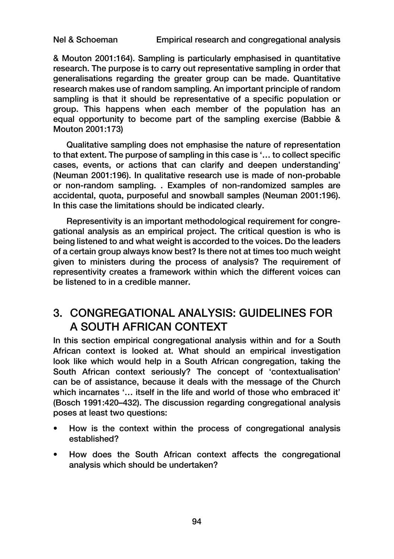& Mouton 2001:164). Sampling is particularly emphasised in quantitative research. The purpose is to carry out representative sampling in order that generalisations regarding the greater group can be made. Quantitative research makes use of random sampling. An important principle of random sampling is that it should be representative of a specific population or group. This happens when each member of the population has an equal opportunity to become part of the sampling exercise (Babbie & Mouton 2001:173)

Qualitative sampling does not emphasise the nature of representation to that extent. The purpose of sampling in this case is '… to collect specific cases, events, or actions that can clarify and deepen understanding' (Neuman 2001:196). In qualitative research use is made of non-probable or non-random sampling. . Examples of non-randomized samples are accidental, quota, purposeful and snowball samples (Neuman 2001:196). In this case the limitations should be indicated clearly.

Representivity is an important methodological requirement for congregational analysis as an empirical project. The critical question is who is being listened to and what weight is accorded to the voices. Do the leaders of a certain group always know best? Is there not at times too much weight given to ministers during the process of analysis? The requirement of representivity creates a framework within which the different voices can be listened to in a credible manner.

## 3. CONGREGATIONAL ANALYSIS: GUIDELINES FOR A SOUTH AFRICAN CONTEXT

In this section empirical congregational analysis within and for a South African context is looked at. What should an empirical investigation look like which would help in a South African congregation, taking the South African context seriously? The concept of 'contextualisation' can be of assistance, because it deals with the message of the Church which incarnates '… itself in the life and world of those who embraced it' (Bosch 1991:420–432). The discussion regarding congregational analysis poses at least two questions:

- How is the context within the process of congregational analysis established?
- How does the South African context affects the congregational analysis which should be undertaken?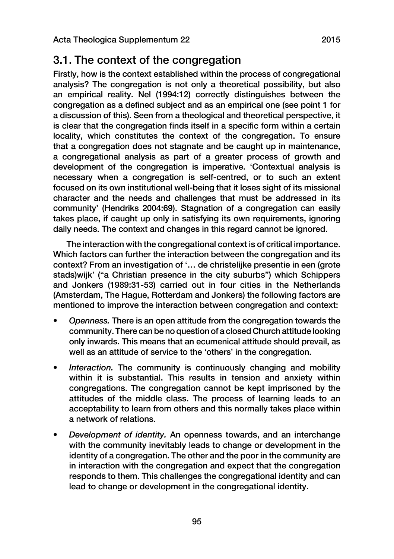## 3.1. The context of the congregation

Firstly, how is the context established within the process of congregational analysis? The congregation is not only a theoretical possibility, but also an empirical reality. Nel (1994:12) correctly distinguishes between the congregation as a defined subject and as an empirical one (see point 1 for a discussion of this). Seen from a theological and theoretical perspective, it is clear that the congregation finds itself in a specific form within a certain locality, which constitutes the context of the congregation. To ensure that a congregation does not stagnate and be caught up in maintenance, a congregational analysis as part of a greater process of growth and development of the congregation is imperative. 'Contextual analysis is necessary when a congregation is self-centred, or to such an extent focused on its own institutional well-being that it loses sight of its missional character and the needs and challenges that must be addressed in its community' (Hendriks 2004:69). Stagnation of a congregation can easily takes place, if caught up only in satisfying its own requirements, ignoring daily needs. The context and changes in this regard cannot be ignored.

The interaction with the congregational context is of critical importance. Which factors can further the interaction between the congregation and its context? From an investigation of '… de christelijke presentie in een (grote stads)wijk' ("a Christian presence in the city suburbs") which Schippers and Jonkers (1989:31-53) carried out in four cities in the Netherlands (Amsterdam, The Hague, Rotterdam and Jonkers) the following factors are mentioned to improve the interaction between congregation and context:

- *Openness.* There is an open attitude from the congregation towards the community. There can be no question of a closed Church attitude looking only inwards. This means that an ecumenical attitude should prevail, as well as an attitude of service to the 'others' in the congregation.
- *Interaction.* The community is continuously changing and mobility within it is substantial. This results in tension and anxiety within congregations. The congregation cannot be kept imprisoned by the attitudes of the middle class. The process of learning leads to an acceptability to learn from others and this normally takes place within a network of relations.
- *Development of identity.* An openness towards, and an interchange with the community inevitably leads to change or development in the identity of a congregation. The other and the poor in the community are in interaction with the congregation and expect that the congregation responds to them. This challenges the congregational identity and can lead to change or development in the congregational identity.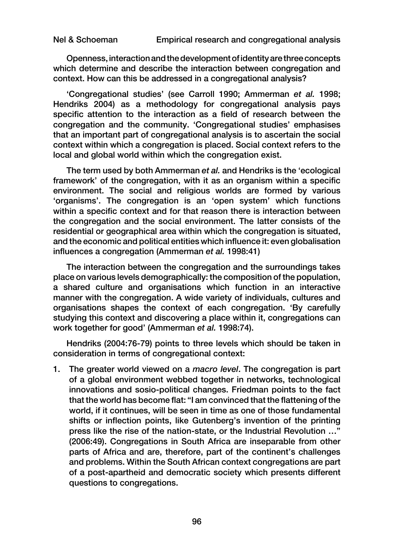Openness, interaction and the development of identity are three concepts which determine and describe the interaction between congregation and context. How can this be addressed in a congregational analysis?

'Congregational studies' (see Carroll 1990; Ammerman *et al.* 1998; Hendriks 2004) as a methodology for congregational analysis pays specific attention to the interaction as a field of research between the congregation and the community. 'Congregational studies' emphasises that an important part of congregational analysis is to ascertain the social context within which a congregation is placed. Social context refers to the local and global world within which the congregation exist.

The term used by both Ammerman *et al.* and Hendriks is the 'ecological framework' of the congregation, with it as an organism within a specific environment. The social and religious worlds are formed by various 'organisms'. The congregation is an 'open system' which functions within a specific context and for that reason there is interaction between the congregation and the social environment. The latter consists of the residential or geographical area within which the congregation is situated, and the economic and political entities which influence it: even globalisation influences a congregation (Ammerman *et al.* 1998:41)

The interaction between the congregation and the surroundings takes place on various levels demographically: the composition of the population, a shared culture and organisations which function in an interactive manner with the congregation. A wide variety of individuals, cultures and organisations shapes the context of each congregation. 'By carefully studying this context and discovering a place within it, congregations can work together for good' (Ammerman *et al.* 1998:74).

Hendriks (2004:76-79) points to three levels which should be taken in consideration in terms of congregational context:

1. The greater world viewed on a *macro level*. The congregation is part of a global environment webbed together in networks, technological innovations and sosio-political changes. Friedman points to the fact that the world has become flat: "I am convinced that the flattening of the world, if it continues, will be seen in time as one of those fundamental shifts or inflection points, like Gutenberg's invention of the printing press like the rise of the nation-state, or the Industrial Revolution …" (2006:49). Congregations in South Africa are inseparable from other parts of Africa and are, therefore, part of the continent's challenges and problems. Within the South African context congregations are part of a post-apartheid and democratic society which presents different questions to congregations.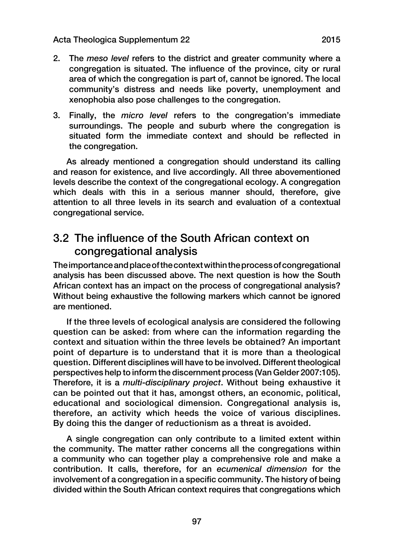- 2. The *meso level* refers to the district and greater community where a congregation is situated. The influence of the province, city or rural area of which the congregation is part of, cannot be ignored. The local community's distress and needs like poverty, unemployment and xenophobia also pose challenges to the congregation.
- 3. Finally, the *micro level* refers to the congregation's immediate surroundings. The people and suburb where the congregation is situated form the immediate context and should be reflected in the congregation.

As already mentioned a congregation should understand its calling and reason for existence, and live accordingly. All three abovementioned levels describe the context of the congregational ecology. A congregation which deals with this in a serious manner should, therefore, give attention to all three levels in its search and evaluation of a contextual congregational service.

## 3.2 The influence of the South African context on congregational analysis

The importance and place of the context within the process of congregational analysis has been discussed above. The next question is how the South African context has an impact on the process of congregational analysis? Without being exhaustive the following markers which cannot be ignored are mentioned.

If the three levels of ecological analysis are considered the following question can be asked: from where can the information regarding the context and situation within the three levels be obtained? An important point of departure is to understand that it is more than a theological question. Different disciplines will have to be involved. Different theological perspectives help to inform the discernment process (Van Gelder 2007:105). Therefore, it is a *multi-disciplinary project*. Without being exhaustive it can be pointed out that it has, amongst others, an economic, political, educational and sociological dimension. Congregational analysis is, therefore, an activity which heeds the voice of various disciplines. By doing this the danger of reductionism as a threat is avoided.

A single congregation can only contribute to a limited extent within the community. The matter rather concerns all the congregations within a community who can together play a comprehensive role and make a contribution. It calls, therefore, for an *ecumenical dimension* for the involvement of a congregation in a specific community. The history of being divided within the South African context requires that congregations which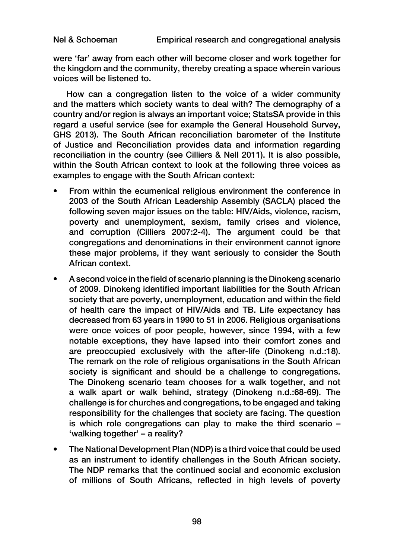were 'far' away from each other will become closer and work together for the kingdom and the community, thereby creating a space wherein various voices will be listened to.

How can a congregation listen to the voice of a wider community and the matters which society wants to deal with? The demography of a country and/or region is always an important voice; StatsSA provide in this regard a useful service (see for example the General Household Survey, GHS 2013). The South African reconciliation barometer of the Institute of Justice and Reconciliation provides data and information regarding reconciliation in the country (see Cilliers & Nell 2011). It is also possible, within the South African context to look at the following three voices as examples to engage with the South African context:

- From within the ecumenical religious environment the conference in 2003 of the South African Leadership Assembly (SACLA) placed the following seven major issues on the table: HIV/Aids, violence, racism, poverty and unemployment, sexism, family crises and violence, and corruption (Cilliers 2007:2-4). The argument could be that congregations and denominations in their environment cannot ignore these major problems, if they want seriously to consider the South African context.
- A second voice in the field of scenario planning is the Dinokeng scenario of 2009. Dinokeng identified important liabilities for the South African society that are poverty, unemployment, education and within the field of health care the impact of HIV/Aids and TB. Life expectancy has decreased from 63 years in 1990 to 51 in 2006. Religious organisations were once voices of poor people, however, since 1994, with a few notable exceptions, they have lapsed into their comfort zones and are preoccupied exclusively with the after-life (Dinokeng n.d.:18). The remark on the role of religious organisations in the South African society is significant and should be a challenge to congregations. The Dinokeng scenario team chooses for a walk together, and not a walk apart or walk behind, strategy (Dinokeng n.d.:68-69). The challenge is for churches and congregations, to be engaged and taking responsibility for the challenges that society are facing. The question is which role congregations can play to make the third scenario – 'walking together' – a reality?
- The National Development Plan (NDP) is a third voice that could be used as an instrument to identify challenges in the South African society. The NDP remarks that the continued social and economic exclusion of millions of South Africans, reflected in high levels of poverty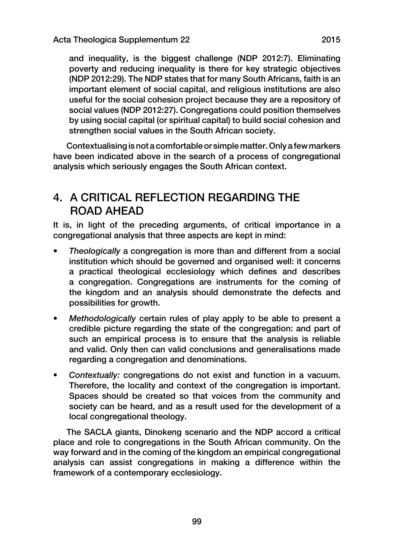and inequality, is the biggest challenge (NDP 2012:7). Eliminating poverty and reducing inequality is there for key strategic objectives (NDP 2012:29). The NDP states that for many South Africans, faith is an important element of social capital, and religious institutions are also useful for the social cohesion project because they are a repository of social values (NDP 2012:27). Congregations could position themselves by using social capital (or spiritual capital) to build social cohesion and strengthen social values in the South African society.

Contextualising is not a comfortable or simple matter. Only a few markers have been indicated above in the search of a process of congregational analysis which seriously engages the South African context.

## 4. A CRITICAL REFLECTION REGARDING THE ROAD AHEAD

It is, in light of the preceding arguments, of critical importance in a congregational analysis that three aspects are kept in mind:

- *• Theologically* a congregation is more than and different from a social institution which should be governed and organised well: it concerns a practical theological ecclesiology which defines and describes a congregation. Congregations are instruments for the coming of the kingdom and an analysis should demonstrate the defects and possibilities for growth.
- *• Methodologically* certain rules of play apply to be able to present a credible picture regarding the state of the congregation: and part of such an empirical process is to ensure that the analysis is reliable and valid. Only then can valid conclusions and generalisations made regarding a congregation and denominations.
- *• Contextually:* congregations do not exist and function in a vacuum. Therefore, the locality and context of the congregation is important. Spaces should be created so that voices from the community and society can be heard, and as a result used for the development of a local congregational theology.

The SACLA giants, Dinokeng scenario and the NDP accord a critical place and role to congregations in the South African community. On the way forward and in the coming of the kingdom an empirical congregational analysis can assist congregations in making a difference within the framework of a contemporary ecclesiology.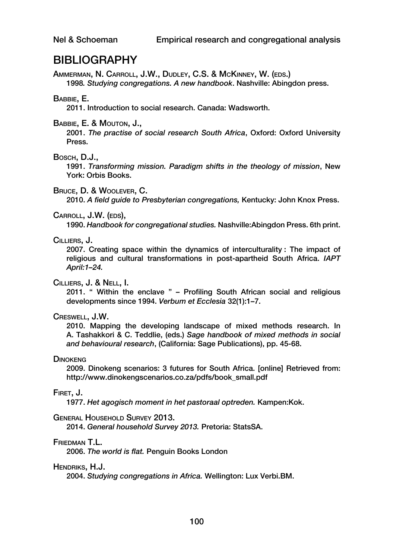## BIBLIOGRAPHY

#### Ammerman, N. Carroll, J.W., Dudley, C.S. & McKinney, W. (eds.)

1998*. Studying congregations. A new handbook*. Nashville: Abingdon press.

#### BABBIE, E.

2011. Introduction to social research. Canada: Wadsworth.

#### Babbie, E. & Mouton, J.,

2001. *The practise of social research South Africa*, Oxford: Oxford University Press.

#### Bosch, D.J.,

1991. *Transforming mission. Paradigm shifts in the theology of mission*, New York: Orbis Books.

#### Bruce, D. & Woolever, C.

2010. *A field guide to Presbyterian congregations,* Kentucky: John Knox Press.

#### CARROLL, J.W. (EDS).

1990. *Handbook for congregational studies.* Nashville:Abingdon Press. 6th print.

#### Cilliers, J.

2007. Creating space within the dynamics of interculturality : The impact of religious and cultural transformations in post-apartheid South Africa. *IAPT April:1–24.*

#### Cilliers, J. & Nell, I.

2011. " Within the enclave " – Profiling South African social and religious developments since 1994. *Verbum et Ecclesia* 32(1):1–7.

#### Creswell, J.W.

2010. Mapping the developing landscape of mixed methods research. In A. Tashakkori & C. Teddlie, (eds.) *Sage handbook of mixed methods in social and behavioural research*, (California: Sage Publications), pp. 45-68.

#### **DINOKENG**

2009. Dinokeng scenarios: 3 futures for South Africa. [online] Retrieved from: http://www.dinokengscenarios.co.za/pdfs/book\_small.pdf

#### FIRET, J.

1977. *Het agogisch moment in het pastoraal optreden.* Kampen:Kok.

#### GENERAL HOUSEHOLD SURVEY 2013.

2014. *General household Survey 2013.* Pretoria: StatsSA.

#### Friedman T.L.

2006. *The world is flat.* Penguin Books London

#### Hendriks, H.J.

2004. *Studying congregations in Africa.* Wellington: Lux Verbi.BM.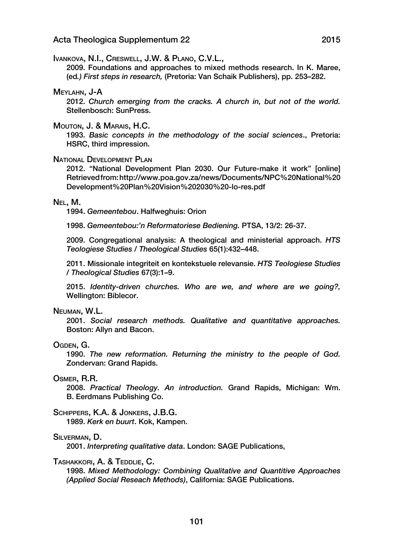#### Ivankova, N.I., Creswell, J.W. & Plano, C.V.L.,

2009. Foundations and approaches to mixed methods research. In K. Maree, (ed*.) First steps in research,* (Pretoria: Van Schaik Publishers), pp. 253–282.

#### Meylahn, J-A

2012. *Church emerging from the cracks. A church in, but not of the world.*  Stellenbosch: SunPress.

#### Mouton, J. & Marais, H.C.

1993. *Basic concepts in the methodology of the social sciences*., Pretoria: HSRC, third impression.

#### National Development Plan

2012. "National Development Plan 2030. Our Future-make it work" [online] Retrieved from: http://www.poa.gov.za/news/Documents/NPC%20National%20 Development%20Plan%20Vision%202030%20-lo-res.pdf

#### Nel, M.

1994. *Gemeentebou*. Halfweghuis: Orion

1998. *Gemeentebou:'n Reformatoriese Bediening.* PTSA, 13/2: 26-37.

2009. Congregational analysis: A theological and ministerial approach. *HTS Teologiese Studies / Theological Studies* 65(1):432–448.

2011. Missionale integriteit en kontekstuele relevansie. *HTS Teologiese Studies / Theological Studies* 67(3):1–9.

2015. *Identity-driven churches. Who are we, and where are we going?,*  Wellington: Biblecor.

#### Neuman, W.L.

2001. *Social research methods. Qualitative and quantitative approaches.*  Boston: Allyn and Bacon.

#### Ogden, G.

1990. *The new reformation. Returning the ministry to the people of God.*  Zondervan: Grand Rapids.

#### Osmer, R.R.

2008. *Practical Theology. An introduction.* Grand Rapids, Michigan: Wm. B. Eerdmans Publishing Co.

#### Schippers, K.A. & Jonkers, J.B.G.

1989. *Kerk en buurt*. Kok, Kampen.

#### Silverman, D.

2001. *Interpreting qualitative data*. London: SAGE Publications,

#### Tashakkori, A. & Teddlie, C.

1998. *Mixed Methodology: Combining Qualitative and Quantitive Approaches (Applied Social Reseach Methods)*, California: SAGE Publications.